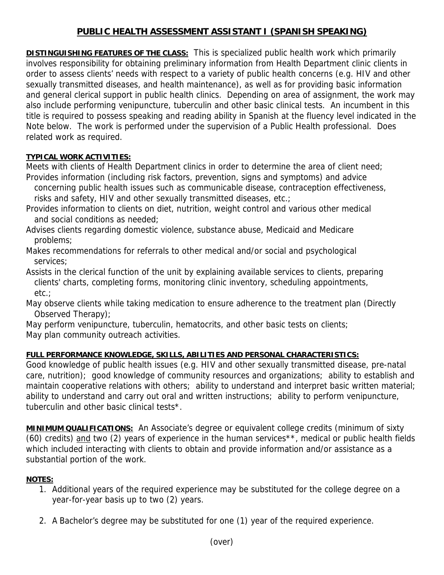## **PUBLIC HEALTH ASSESSMENT ASSISTANT I (SPANISH SPEAKING)**

**DISTINGUISHING FEATURES OF THE CLASS:** This is specialized public health work which primarily involves responsibility for obtaining preliminary information from Health Department clinic clients in order to assess clients' needs with respect to a variety of public health concerns (e.g. HIV and other sexually transmitted diseases, and health maintenance), as well as for providing basic information and general clerical support in public health clinics. Depending on area of assignment, the work may also include performing venipuncture, tuberculin and other basic clinical tests. An incumbent in this title is required to possess speaking and reading ability in Spanish at the fluency level indicated in the Note below. The work is performed under the supervision of a Public Health professional. Does related work as required.

## **TYPICAL WORK ACTIVITIES:**

Meets with clients of Health Department clinics in order to determine the area of client need; Provides information (including risk factors, prevention, signs and symptoms) and advice

concerning public health issues such as communicable disease, contraception effectiveness,

risks and safety, HIV and other sexually transmitted diseases, etc.;

- Provides information to clients on diet, nutrition, weight control and various other medical and social conditions as needed;
- Advises clients regarding domestic violence, substance abuse, Medicaid and Medicare problems;
- Makes recommendations for referrals to other medical and/or social and psychological services;

Assists in the clerical function of the unit by explaining available services to clients, preparing clients' charts, completing forms, monitoring clinic inventory, scheduling appointments, etc.;

May observe clients while taking medication to ensure adherence to the treatment plan (Directly Observed Therapy);

May perform venipuncture, tuberculin, hematocrits, and other basic tests on clients; May plan community outreach activities.

## **FULL PERFORMANCE KNOWLEDGE, SKILLS, ABILITIES AND PERSONAL CHARACTERISTICS:**

Good knowledge of public health issues (e.g. HIV and other sexually transmitted disease, pre-natal care, nutrition); good knowledge of community resources and organizations; ability to establish and maintain cooperative relations with others; ability to understand and interpret basic written material; ability to understand and carry out oral and written instructions; ability to perform venipuncture, tuberculin and other basic clinical tests\*.

**MINIMUM QUALIFICATIONS:** An Associate's degree or equivalent college credits (minimum of sixty (60) credits) and two (2) years of experience in the human services<sup>\*\*</sup>, medical or public health fields which included interacting with clients to obtain and provide information and/or assistance as a substantial portion of the work.

## **NOTES:**

- 1. Additional years of the required experience may be substituted for the college degree on a year-for-year basis up to two (2) years.
- 2. A Bachelor's degree may be substituted for one (1) year of the required experience.